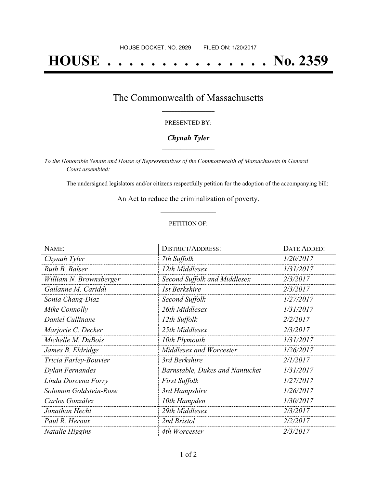# **HOUSE . . . . . . . . . . . . . . . No. 2359**

# The Commonwealth of Massachusetts **\_\_\_\_\_\_\_\_\_\_\_\_\_\_\_\_\_**

### PRESENTED BY:

## *Chynah Tyler* **\_\_\_\_\_\_\_\_\_\_\_\_\_\_\_\_\_**

*To the Honorable Senate and House of Representatives of the Commonwealth of Massachusetts in General Court assembled:*

The undersigned legislators and/or citizens respectfully petition for the adoption of the accompanying bill:

An Act to reduce the criminalization of poverty. **\_\_\_\_\_\_\_\_\_\_\_\_\_\_\_**

### PETITION OF:

| NAME:                   | <b>DISTRICT/ADDRESS:</b>               | <b>DATE ADDED:</b> |
|-------------------------|----------------------------------------|--------------------|
| Chynah Tyler            | 7th Suffolk                            | 1/20/2017          |
| Ruth B. Balser          | 12th Middlesex                         | 1/31/2017          |
| William N. Brownsberger | Second Suffolk and Middlesex           | 2/3/2017           |
| Gailanne M. Cariddi     | 1st Berkshire                          | 2/3/2017           |
| Sonia Chang-Diaz        | Second Suffolk                         | 1/27/2017          |
| Mike Connolly           | 26th Middlesex                         | 1/31/2017          |
| Daniel Cullinane        | 12th Suffolk                           | 2/2/2017           |
| Marjorie C. Decker      | 25th Middlesex                         | 2/3/2017           |
| Michelle M. DuBois      | 10th Plymouth                          | 1/31/2017          |
| James B. Eldridge       | Middlesex and Worcester                | 1/26/2017          |
| Tricia Farley-Bouvier   | 3rd Berkshire                          | 2/1/2017           |
| Dylan Fernandes         | <b>Barnstable, Dukes and Nantucket</b> | 1/31/2017          |
| Linda Dorcena Forry     | <b>First Suffolk</b>                   | 1/27/2017          |
| Solomon Goldstein-Rose  | 3rd Hampshire                          | 1/26/2017          |
| Carlos González         | 10th Hampden                           | 1/30/2017          |
| Jonathan Hecht          | 29th Middlesex                         | 2/3/2017           |
| Paul R. Heroux          | 2nd Bristol                            | 2/2/2017           |
| Natalie Higgins         | 4th Worcester                          | 2/3/2017           |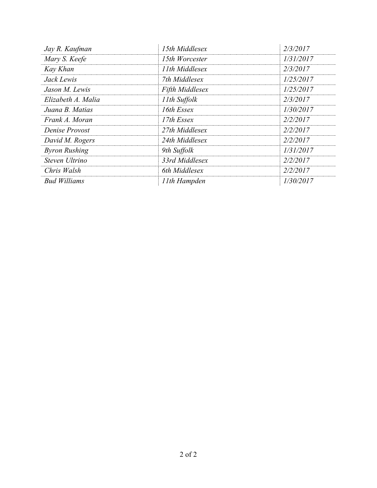| Jay R. Kaufman       | 15th Middlesex         | 2/3/2017  |
|----------------------|------------------------|-----------|
| Mary S. Keefe        | 15th Worcester         | 1/31/2017 |
| Kay Khan             | 11th Middlesex         | 2/3/2017  |
| Jack Lewis           | 7th Middlesex          | 1/25/2017 |
| Jason M. Lewis       | <b>Fifth Middlesex</b> | 1/25/2017 |
| Elizabeth A. Malia   | 11th Suffolk           | 2/3/2017  |
| Juana B. Matias      | 16th Essex             | 1/30/2017 |
| Frank A. Moran       | 17th Essex             | 2/2/2017  |
| Denise Provost       | 27th Middlesex         | 2/2/2017  |
| David M. Rogers      | 24th Middlesex         | 2/2/2017  |
| <b>Byron Rushing</b> | 9th Suffolk            | 1/31/2017 |
| Steven Ultrino       | 33rd Middlesex         | 2/2/2017  |
| Chris Walsh          | 6th Middlesex          | 2/2/2017  |
| <b>Bud Williams</b>  | 11th Hampden           | 1/30/2017 |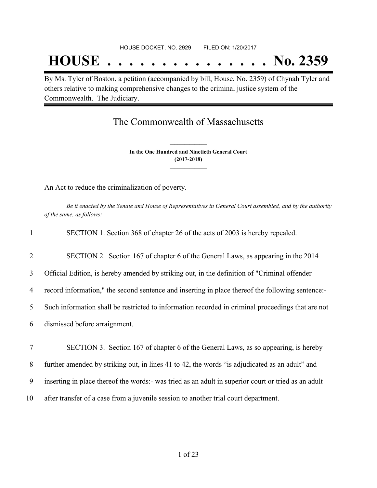# **HOUSE . . . . . . . . . . . . . . . No. 2359**

By Ms. Tyler of Boston, a petition (accompanied by bill, House, No. 2359) of Chynah Tyler and others relative to making comprehensive changes to the criminal justice system of the Commonwealth. The Judiciary.

# The Commonwealth of Massachusetts

**In the One Hundred and Ninetieth General Court (2017-2018) \_\_\_\_\_\_\_\_\_\_\_\_\_\_\_**

**\_\_\_\_\_\_\_\_\_\_\_\_\_\_\_**

An Act to reduce the criminalization of poverty.

Be it enacted by the Senate and House of Representatives in General Court assembled, and by the authority *of the same, as follows:*

| $\mathbf{1}$ | SECTION 1. Section 368 of chapter 26 of the acts of 2003 is hereby repealed.                        |
|--------------|-----------------------------------------------------------------------------------------------------|
| 2            | SECTION 2. Section 167 of chapter 6 of the General Laws, as appearing in the 2014                   |
| 3            | Official Edition, is hereby amended by striking out, in the definition of "Criminal offender"       |
| 4            | record information," the second sentence and inserting in place thereof the following sentence:-    |
| 5            | Such information shall be restricted to information recorded in criminal proceedings that are not   |
| 6            | dismissed before arraignment.                                                                       |
| 7            | SECTION 3. Section 167 of chapter 6 of the General Laws, as so appearing, is hereby                 |
| 8            | further amended by striking out, in lines 41 to 42, the words "is adjudicated as an adult" and      |
| 9            | inserting in place thereof the words:- was tried as an adult in superior court or tried as an adult |
| 10           | after transfer of a case from a juvenile session to another trial court department.                 |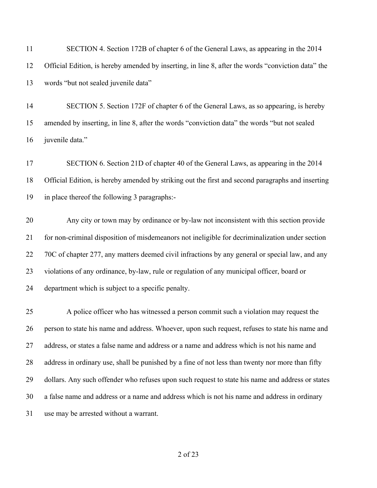| 11 | SECTION 4. Section 172B of chapter 6 of the General Laws, as appearing in the 2014                 |
|----|----------------------------------------------------------------------------------------------------|
| 12 | Official Edition, is hereby amended by inserting, in line 8, after the words "conviction data" the |
| 13 | words "but not sealed juvenile data"                                                               |
| 14 | SECTION 5. Section 172F of chapter 6 of the General Laws, as so appearing, is hereby               |
| 15 | amended by inserting, in line 8, after the words "conviction data" the words "but not sealed       |
| 16 | juvenile data."                                                                                    |
| 17 | SECTION 6. Section 21D of chapter 40 of the General Laws, as appearing in the 2014                 |
| 18 | Official Edition, is hereby amended by striking out the first and second paragraphs and inserting  |
| 19 | in place thereof the following 3 paragraphs:-                                                      |
| 20 | Any city or town may by ordinance or by-law not inconsistent with this section provide             |
| 21 | for non-criminal disposition of misdemeanors not ineligible for decriminalization under section    |
| 22 | 70C of chapter 277, any matters deemed civil infractions by any general or special law, and any    |
| 23 | violations of any ordinance, by-law, rule or regulation of any municipal officer, board or         |
| 24 | department which is subject to a specific penalty.                                                 |
| 25 | A police officer who has witnessed a person commit such a violation may request the                |
| 26 | person to state his name and address. Whoever, upon such request, refuses to state his name and    |
| 27 | address, or states a false name and address or a name and address which is not his name and        |
| 28 | address in ordinary use, shall be punished by a fine of not less than twenty nor more than fifty   |
| 29 | dollars. Any such offender who refuses upon such request to state his name and address or states   |
| 30 | a false name and address or a name and address which is not his name and address in ordinary       |
| 31 | use may be arrested without a warrant.                                                             |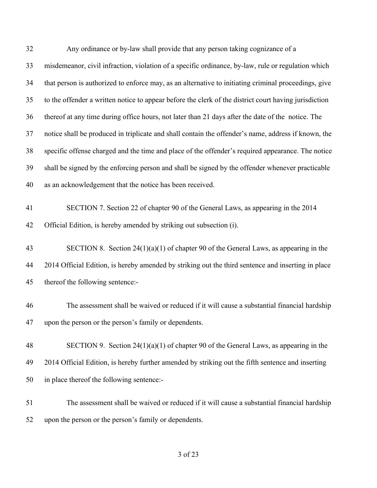| 32 | Any ordinance or by-law shall provide that any person taking cognizance of a                          |
|----|-------------------------------------------------------------------------------------------------------|
| 33 | misdemeanor, civil infraction, violation of a specific ordinance, by-law, rule or regulation which    |
| 34 | that person is authorized to enforce may, as an alternative to initiating criminal proceedings, give  |
| 35 | to the offender a written notice to appear before the clerk of the district court having jurisdiction |
| 36 | thereof at any time during office hours, not later than 21 days after the date of the notice. The     |
| 37 | notice shall be produced in triplicate and shall contain the offender's name, address if known, the   |
| 38 | specific offense charged and the time and place of the offender's required appearance. The notice     |
| 39 | shall be signed by the enforcing person and shall be signed by the offender whenever practicable      |
| 40 | as an acknowledgement that the notice has been received.                                              |
| 41 | SECTION 7. Section 22 of chapter 90 of the General Laws, as appearing in the 2014                     |
| 42 | Official Edition, is hereby amended by striking out subsection (i).                                   |
| 43 | SECTION 8. Section $24(1)(a)(1)$ of chapter 90 of the General Laws, as appearing in the               |
| 44 | 2014 Official Edition, is hereby amended by striking out the third sentence and inserting in place    |
| 45 | thereof the following sentence:-                                                                      |
| 46 | The assessment shall be waived or reduced if it will cause a substantial financial hardship           |
| 47 | upon the person or the person's family or dependents.                                                 |
| 48 | SECTION 9. Section $24(1)(a)(1)$ of chapter 90 of the General Laws, as appearing in the               |
| 49 | 2014 Official Edition, is hereby further amended by striking out the fifth sentence and inserting     |
| 50 | in place thereof the following sentence:-                                                             |
| 51 | The assessment shall be waived or reduced if it will cause a substantial financial hardship           |
| 52 | upon the person or the person's family or dependents.                                                 |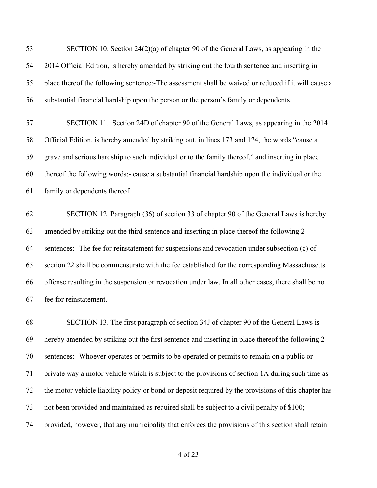SECTION 10. Section 24(2)(a) of chapter 90 of the General Laws, as appearing in the 2014 Official Edition, is hereby amended by striking out the fourth sentence and inserting in place thereof the following sentence:-The assessment shall be waived or reduced if it will cause a substantial financial hardship upon the person or the person's family or dependents.

 SECTION 11. Section 24D of chapter 90 of the General Laws, as appearing in the 2014 Official Edition, is hereby amended by striking out, in lines 173 and 174, the words "cause a grave and serious hardship to such individual or to the family thereof," and inserting in place thereof the following words:- cause a substantial financial hardship upon the individual or the family or dependents thereof

 SECTION 12. Paragraph (36) of section 33 of chapter 90 of the General Laws is hereby amended by striking out the third sentence and inserting in place thereof the following 2 sentences:- The fee for reinstatement for suspensions and revocation under subsection (c) of section 22 shall be commensurate with the fee established for the corresponding Massachusetts offense resulting in the suspension or revocation under law. In all other cases, there shall be no fee for reinstatement.

 SECTION 13. The first paragraph of section 34J of chapter 90 of the General Laws is hereby amended by striking out the first sentence and inserting in place thereof the following 2 sentences:- Whoever operates or permits to be operated or permits to remain on a public or private way a motor vehicle which is subject to the provisions of section 1A during such time as the motor vehicle liability policy or bond or deposit required by the provisions of this chapter has not been provided and maintained as required shall be subject to a civil penalty of \$100; provided, however, that any municipality that enforces the provisions of this section shall retain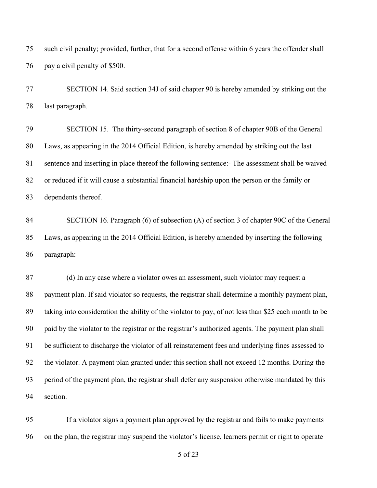such civil penalty; provided, further, that for a second offense within 6 years the offender shall pay a civil penalty of \$500.

 SECTION 14. Said section 34J of said chapter 90 is hereby amended by striking out the last paragraph.

 SECTION 15. The thirty-second paragraph of section 8 of chapter 90B of the General Laws, as appearing in the 2014 Official Edition, is hereby amended by striking out the last sentence and inserting in place thereof the following sentence:- The assessment shall be waived or reduced if it will cause a substantial financial hardship upon the person or the family or dependents thereof.

 SECTION 16. Paragraph (6) of subsection (A) of section 3 of chapter 90C of the General Laws, as appearing in the 2014 Official Edition, is hereby amended by inserting the following paragraph:—

 (d) In any case where a violator owes an assessment, such violator may request a payment plan. If said violator so requests, the registrar shall determine a monthly payment plan, taking into consideration the ability of the violator to pay, of not less than \$25 each month to be paid by the violator to the registrar or the registrar's authorized agents. The payment plan shall be sufficient to discharge the violator of all reinstatement fees and underlying fines assessed to the violator. A payment plan granted under this section shall not exceed 12 months. During the period of the payment plan, the registrar shall defer any suspension otherwise mandated by this section.

 If a violator signs a payment plan approved by the registrar and fails to make payments on the plan, the registrar may suspend the violator's license, learners permit or right to operate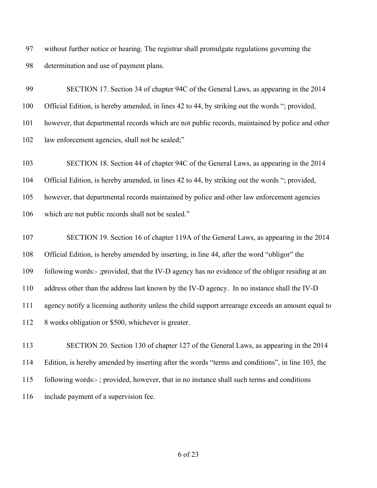without further notice or hearing. The registrar shall promulgate regulations governing the determination and use of payment plans.

 SECTION 17. Section 34 of chapter 94C of the General Laws, as appearing in the 2014 Official Edition, is hereby amended, in lines 42 to 44, by striking out the words "; provided, however, that departmental records which are not public records, maintained by police and other 102 law enforcement agencies, shall not be sealed;"

SECTION 18. Section 44 of chapter 94C of the General Laws, as appearing in the 2014

Official Edition, is hereby amended, in lines 42 to 44, by striking out the words "; provided,

however, that departmental records maintained by police and other law enforcement agencies

which are not public records shall not be sealed."

 SECTION 19. Section 16 of chapter 119A of the General Laws, as appearing in the 2014 Official Edition, is hereby amended by inserting, in line 44, after the word "obligor" the following words:- ;provided, that the IV-D agency has no evidence of the obligor residing at an address other than the address last known by the IV-D agency. In no instance shall the IV-D agency notify a licensing authority unless the child support arrearage exceeds an amount equal to 112 8 weeks obligation or \$500, whichever is greater.

 SECTION 20. Section 130 of chapter 127 of the General Laws, as appearing in the 2014 Edition, is hereby amended by inserting after the words "terms and conditions", in line 103, the following words:- ; provided, however, that in no instance shall such terms and conditions include payment of a supervision fee.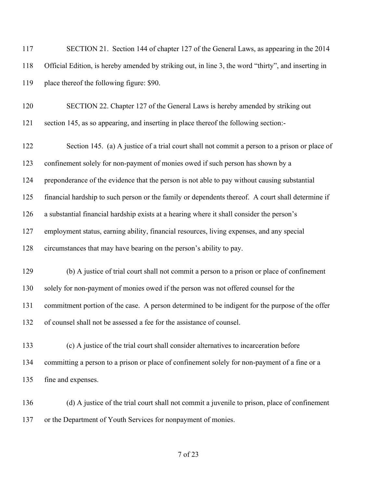| 117 | SECTION 21. Section 144 of chapter 127 of the General Laws, as appearing in the 2014                |
|-----|-----------------------------------------------------------------------------------------------------|
| 118 | Official Edition, is hereby amended by striking out, in line 3, the word "thirty", and inserting in |
| 119 | place thereof the following figure: \$90.                                                           |
| 120 | SECTION 22. Chapter 127 of the General Laws is hereby amended by striking out                       |
| 121 | section 145, as so appearing, and inserting in place thereof the following section:-                |
| 122 | Section 145. (a) A justice of a trial court shall not commit a person to a prison or place of       |
| 123 | confinement solely for non-payment of monies owed if such person has shown by a                     |
| 124 | preponderance of the evidence that the person is not able to pay without causing substantial        |
| 125 | financial hardship to such person or the family or dependents thereof. A court shall determine if   |
| 126 | a substantial financial hardship exists at a hearing where it shall consider the person's           |
| 127 | employment status, earning ability, financial resources, living expenses, and any special           |
| 128 | circumstances that may have bearing on the person's ability to pay.                                 |
| 129 | (b) A justice of trial court shall not commit a person to a prison or place of confinement          |
| 130 | solely for non-payment of monies owed if the person was not offered counsel for the                 |
| 131 | commitment portion of the case. A person determined to be indigent for the purpose of the offer     |
| 132 | of counsel shall not be assessed a fee for the assistance of counsel.                               |
| 133 | (c) A justice of the trial court shall consider alternatives to incarceration before                |
|     |                                                                                                     |
| 134 | committing a person to a prison or place of confinement solely for non-payment of a fine or a       |
| 135 | fine and expenses.                                                                                  |
| 136 | (d) A justice of the trial court shall not commit a juvenile to prison, place of confinement        |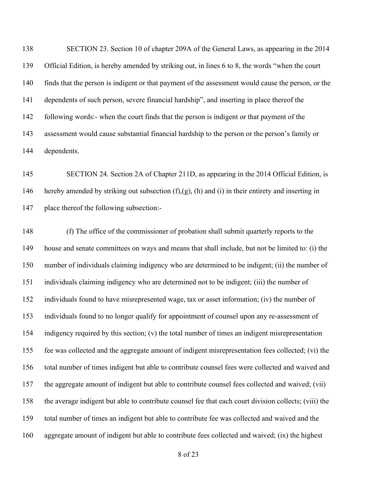SECTION 23. Section 10 of chapter 209A of the General Laws, as appearing in the 2014 Official Edition, is hereby amended by striking out, in lines 6 to 8, the words "when the court finds that the person is indigent or that payment of the assessment would cause the person, or the dependents of such person, severe financial hardship", and inserting in place thereof the following words:- when the court finds that the person is indigent or that payment of the assessment would cause substantial financial hardship to the person or the person's family or dependents.

 SECTION 24. Section 2A of Chapter 211D, as appearing in the 2014 Official Edition, is hereby amended by striking out subsection (f),(g), (h) and (i) in their entirety and inserting in place thereof the following subsection:-

 (f) The office of the commissioner of probation shall submit quarterly reports to the house and senate committees on ways and means that shall include, but not be limited to: (i) the number of individuals claiming indigency who are determined to be indigent; (ii) the number of individuals claiming indigency who are determined not to be indigent; (iii) the number of individuals found to have misrepresented wage, tax or asset information; (iv) the number of individuals found to no longer qualify for appointment of counsel upon any re-assessment of indigency required by this section; (v) the total number of times an indigent misrepresentation fee was collected and the aggregate amount of indigent misrepresentation fees collected; (vi) the total number of times indigent but able to contribute counsel fees were collected and waived and the aggregate amount of indigent but able to contribute counsel fees collected and waived; (vii) the average indigent but able to contribute counsel fee that each court division collects; (viii) the total number of times an indigent but able to contribute fee was collected and waived and the aggregate amount of indigent but able to contribute fees collected and waived; (ix) the highest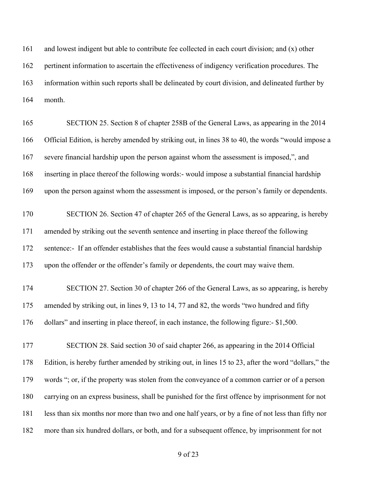and lowest indigent but able to contribute fee collected in each court division; and (x) other pertinent information to ascertain the effectiveness of indigency verification procedures. The information within such reports shall be delineated by court division, and delineated further by month.

 SECTION 25. Section 8 of chapter 258B of the General Laws, as appearing in the 2014 Official Edition, is hereby amended by striking out, in lines 38 to 40, the words "would impose a severe financial hardship upon the person against whom the assessment is imposed,", and inserting in place thereof the following words:- would impose a substantial financial hardship upon the person against whom the assessment is imposed, or the person's family or dependents.

 SECTION 26. Section 47 of chapter 265 of the General Laws, as so appearing, is hereby amended by striking out the seventh sentence and inserting in place thereof the following sentence:- If an offender establishes that the fees would cause a substantial financial hardship upon the offender or the offender's family or dependents, the court may waive them.

 SECTION 27. Section 30 of chapter 266 of the General Laws, as so appearing, is hereby amended by striking out, in lines 9, 13 to 14, 77 and 82, the words "two hundred and fifty dollars" and inserting in place thereof, in each instance, the following figure:- \$1,500.

 SECTION 28. Said section 30 of said chapter 266, as appearing in the 2014 Official Edition, is hereby further amended by striking out, in lines 15 to 23, after the word "dollars," the words "; or, if the property was stolen from the conveyance of a common carrier or of a person carrying on an express business, shall be punished for the first offence by imprisonment for not less than six months nor more than two and one half years, or by a fine of not less than fifty nor more than six hundred dollars, or both, and for a subsequent offence, by imprisonment for not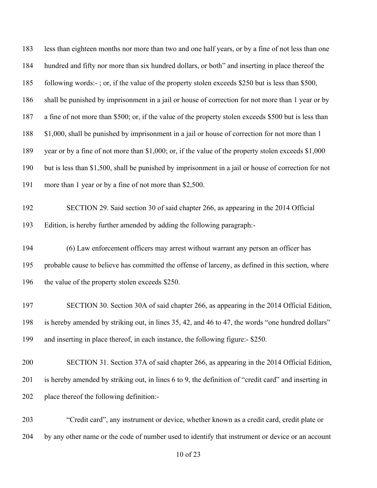| 183 | less than eighteen months nor more than two and one half years, or by a fine of not less than one     |
|-----|-------------------------------------------------------------------------------------------------------|
| 184 | hundred and fifty nor more than six hundred dollars, or both" and inserting in place thereof the      |
| 185 | following words:-; or, if the value of the property stolen exceeds \$250 but is less than \$500,      |
| 186 | shall be punished by imprisonment in a jail or house of correction for not more than 1 year or by     |
| 187 | a fine of not more than \$500; or, if the value of the property stolen exceeds \$500 but is less than |
| 188 | \$1,000, shall be punished by imprisonment in a jail or house of correction for not more than 1       |
| 189 | year or by a fine of not more than \$1,000; or, if the value of the property stolen exceeds \$1,000   |
| 190 | but is less than \$1,500, shall be punished by imprisonment in a jail or house of correction for not  |
| 191 | more than 1 year or by a fine of not more than \$2,500.                                               |
| 192 | SECTION 29. Said section 30 of said chapter 266, as appearing in the 2014 Official                    |
| 193 | Edition, is hereby further amended by adding the following paragraph:-                                |
| 194 | (6) Law enforcement officers may arrest without warrant any person an officer has                     |
| 195 | probable cause to believe has committed the offense of larceny, as defined in this section, where     |
| 196 | the value of the property stolen exceeds \$250.                                                       |
| 197 | SECTION 30. Section 30A of said chapter 266, as appearing in the 2014 Official Edition,               |
| 198 | is hereby amended by striking out, in lines 35, 42, and 46 to 47, the words "one hundred dollars"     |
| 199 | and inserting in place thereof, in each instance, the following figure:- \$250.                       |
| 200 | SECTION 31. Section 37A of said chapter 266, as appearing in the 2014 Official Edition,               |
| 201 | is hereby amended by striking out, in lines 6 to 9, the definition of "credit card" and inserting in  |
| 202 | place thereof the following definition:-                                                              |
| 203 | "Credit card", any instrument or device, whether known as a credit card, credit plate or              |

by any other name or the code of number used to identify that instrument or device or an account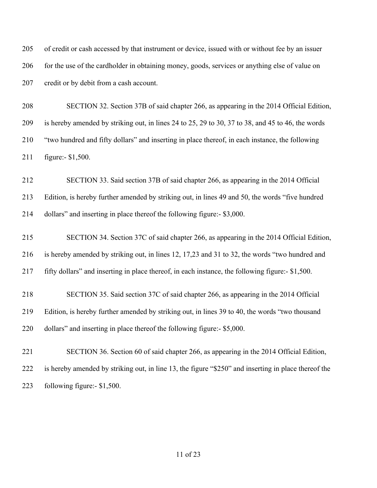of credit or cash accessed by that instrument or device, issued with or without fee by an issuer 206 for the use of the cardholder in obtaining money, goods, services or anything else of value on 207 credit or by debit from a cash account.

 SECTION 32. Section 37B of said chapter 266, as appearing in the 2014 Official Edition, is hereby amended by striking out, in lines 24 to 25, 29 to 30, 37 to 38, and 45 to 46, the words "two hundred and fifty dollars" and inserting in place thereof, in each instance, the following figure:- \$1,500.

 SECTION 33. Said section 37B of said chapter 266, as appearing in the 2014 Official Edition, is hereby further amended by striking out, in lines 49 and 50, the words "five hundred dollars" and inserting in place thereof the following figure:- \$3,000.

 SECTION 34. Section 37C of said chapter 266, as appearing in the 2014 Official Edition, is hereby amended by striking out, in lines 12, 17,23 and 31 to 32, the words "two hundred and fifty dollars" and inserting in place thereof, in each instance, the following figure:- \$1,500.

 SECTION 35. Said section 37C of said chapter 266, as appearing in the 2014 Official Edition, is hereby further amended by striking out, in lines 39 to 40, the words "two thousand dollars" and inserting in place thereof the following figure:- \$5,000.

 SECTION 36. Section 60 of said chapter 266, as appearing in the 2014 Official Edition, is hereby amended by striking out, in line 13, the figure "\$250" and inserting in place thereof the following figure:- \$1,500.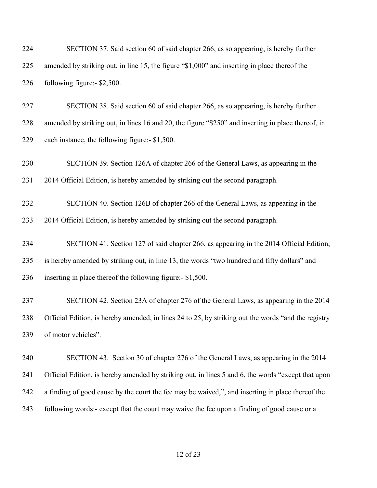| 224 | SECTION 37. Said section 60 of said chapter 266, as so appearing, is hereby further                 |
|-----|-----------------------------------------------------------------------------------------------------|
| 225 | amended by striking out, in line 15, the figure "\$1,000" and inserting in place thereof the        |
| 226 | following figure:- \$2,500.                                                                         |
| 227 | SECTION 38. Said section 60 of said chapter 266, as so appearing, is hereby further                 |
| 228 | amended by striking out, in lines 16 and 20, the figure "\$250" and inserting in place thereof, in  |
| 229 | each instance, the following figure:- \$1,500.                                                      |
| 230 | SECTION 39. Section 126A of chapter 266 of the General Laws, as appearing in the                    |
| 231 | 2014 Official Edition, is hereby amended by striking out the second paragraph.                      |
| 232 | SECTION 40. Section 126B of chapter 266 of the General Laws, as appearing in the                    |
| 233 | 2014 Official Edition, is hereby amended by striking out the second paragraph.                      |
| 234 | SECTION 41. Section 127 of said chapter 266, as appearing in the 2014 Official Edition,             |
| 235 | is hereby amended by striking out, in line 13, the words "two hundred and fifty dollars" and        |
| 236 | inserting in place thereof the following figure:- \$1,500.                                          |
| 237 | SECTION 42. Section 23A of chapter 276 of the General Laws, as appearing in the 2014                |
| 238 | Official Edition, is hereby amended, in lines 24 to 25, by striking out the words "and the registry |
| 239 | of motor vehicles".                                                                                 |
| 240 | SECTION 43. Section 30 of chapter 276 of the General Laws, as appearing in the 2014                 |
| 241 | Official Edition, is hereby amended by striking out, in lines 5 and 6, the words "except that upon  |
| 242 | a finding of good cause by the court the fee may be waived,", and inserting in place thereof the    |
| 243 | following words:- except that the court may waive the fee upon a finding of good cause or a         |
|     |                                                                                                     |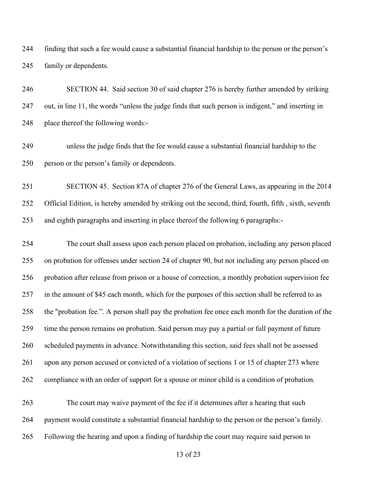finding that such a fee would cause a substantial financial hardship to the person or the person's family or dependents.

 SECTION 44. Said section 30 of said chapter 276 is hereby further amended by striking out, in line 11, the words "unless the judge finds that such person is indigent," and inserting in place thereof the following words:-

 unless the judge finds that the fee would cause a substantial financial hardship to the person or the person's family or dependents.

 SECTION 45. Section 87A of chapter 276 of the General Laws, as appearing in the 2014 Official Edition, is hereby amended by striking out the second, third, fourth, fifth , sixth, seventh and eighth paragraphs and inserting in place thereof the following 6 paragraphs:-

 The court shall assess upon each person placed on probation, including any person placed on probation for offenses under section 24 of chapter 90, but not including any person placed on probation after release from prison or a house of correction, a monthly probation supervision fee in the amount of \$45 each month, which for the purposes of this section shall be referred to as the "probation fee.". A person shall pay the probation fee once each month for the duration of the time the person remains on probation. Said person may pay a partial or full payment of future scheduled payments in advance. Notwithstanding this section, said fees shall not be assessed upon any person accused or convicted of a violation of sections 1 or 15 of chapter 273 where compliance with an order of support for a spouse or minor child is a condition of probation.

 The court may waive payment of the fee if it determines after a hearing that such payment would constitute a substantial financial hardship to the person or the person's family. Following the hearing and upon a finding of hardship the court may require said person to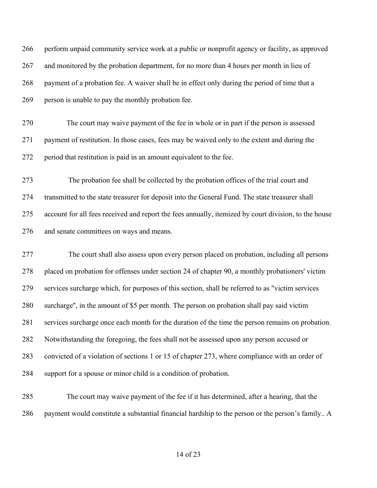| 266 | perform unpaid community service work at a public or nonprofit agency or facility, as approved       |
|-----|------------------------------------------------------------------------------------------------------|
| 267 | and monitored by the probation department, for no more than 4 hours per month in lieu of             |
| 268 | payment of a probation fee. A waiver shall be in effect only during the period of time that a        |
| 269 | person is unable to pay the monthly probation fee.                                                   |
| 270 | The court may waive payment of the fee in whole or in part if the person is assessed                 |
| 271 | payment of restitution. In those cases, fees may be waived only to the extent and during the         |
| 272 | period that restitution is paid in an amount equivalent to the fee.                                  |
| 273 | The probation fee shall be collected by the probation offices of the trial court and                 |
| 274 | transmitted to the state treasurer for deposit into the General Fund. The state treasurer shall      |
| 275 | account for all fees received and report the fees annually, itemized by court division, to the house |
| 276 | and senate committees on ways and means.                                                             |
| 277 | The court shall also assess upon every person placed on probation, including all persons             |
| 278 | placed on probation for offenses under section 24 of chapter 90, a monthly probationers' victim      |
| 279 | services surcharge which, for purposes of this section, shall be referred to as "victim services"    |
| 280 | surcharge", in the amount of \$5 per month. The person on probation shall pay said victim            |
| 281 | services surcharge once each month for the duration of the time the person remains on probation.     |
| 282 | Notwithstanding the foregoing, the fees shall not be assessed upon any person accused or             |
| 283 | convicted of a violation of sections 1 or 15 of chapter 273, where compliance with an order of       |

support for a spouse or minor child is a condition of probation.

 The court may waive payment of the fee if it has determined, after a hearing, that the payment would constitute a substantial financial hardship to the person or the person's family.. A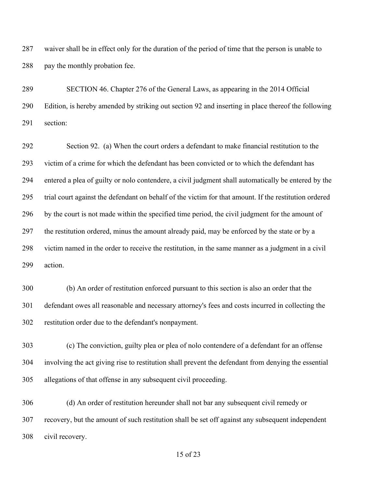waiver shall be in effect only for the duration of the period of time that the person is unable to 288 pay the monthly probation fee.

 SECTION 46. Chapter 276 of the General Laws, as appearing in the 2014 Official Edition, is hereby amended by striking out section 92 and inserting in place thereof the following section:

 Section 92. (a) When the court orders a defendant to make financial restitution to the victim of a crime for which the defendant has been convicted or to which the defendant has entered a plea of guilty or nolo contendere, a civil judgment shall automatically be entered by the trial court against the defendant on behalf of the victim for that amount. If the restitution ordered by the court is not made within the specified time period, the civil judgment for the amount of the restitution ordered, minus the amount already paid, may be enforced by the state or by a victim named in the order to receive the restitution, in the same manner as a judgment in a civil action.

 (b) An order of restitution enforced pursuant to this section is also an order that the defendant owes all reasonable and necessary attorney's fees and costs incurred in collecting the restitution order due to the defendant's nonpayment.

 (c) The conviction, guilty plea or plea of nolo contendere of a defendant for an offense involving the act giving rise to restitution shall prevent the defendant from denying the essential allegations of that offense in any subsequent civil proceeding.

 (d) An order of restitution hereunder shall not bar any subsequent civil remedy or recovery, but the amount of such restitution shall be set off against any subsequent independent civil recovery.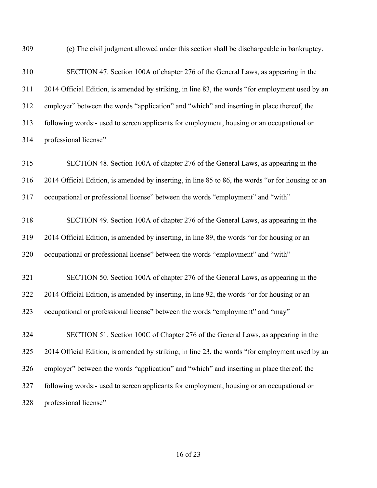(e) The civil judgment allowed under this section shall be dischargeable in bankruptcy.

 SECTION 47. Section 100A of chapter 276 of the General Laws, as appearing in the 2014 Official Edition, is amended by striking, in line 83, the words "for employment used by an employer" between the words "application" and "which" and inserting in place thereof, the following words:- used to screen applicants for employment, housing or an occupational or professional license"

 SECTION 48. Section 100A of chapter 276 of the General Laws, as appearing in the 2014 Official Edition, is amended by inserting, in line 85 to 86, the words "or for housing or an occupational or professional license" between the words "employment" and "with" SECTION 49. Section 100A of chapter 276 of the General Laws, as appearing in the

 2014 Official Edition, is amended by inserting, in line 89, the words "or for housing or an occupational or professional license" between the words "employment" and "with"

 SECTION 50. Section 100A of chapter 276 of the General Laws, as appearing in the 2014 Official Edition, is amended by inserting, in line 92, the words "or for housing or an occupational or professional license" between the words "employment" and "may"

 SECTION 51. Section 100C of Chapter 276 of the General Laws, as appearing in the 2014 Official Edition, is amended by striking, in line 23, the words "for employment used by an employer" between the words "application" and "which" and inserting in place thereof, the following words:- used to screen applicants for employment, housing or an occupational or professional license"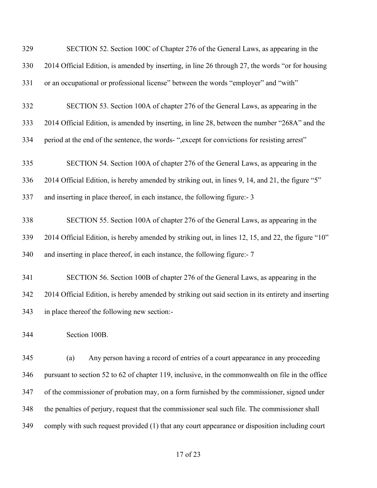| 329 | SECTION 52. Section 100C of Chapter 276 of the General Laws, as appearing in the                    |
|-----|-----------------------------------------------------------------------------------------------------|
| 330 | 2014 Official Edition, is amended by inserting, in line 26 through 27, the words "or for housing    |
| 331 | or an occupational or professional license" between the words "employer" and "with"                 |
| 332 | SECTION 53. Section 100A of chapter 276 of the General Laws, as appearing in the                    |
| 333 | 2014 Official Edition, is amended by inserting, in line 28, between the number "268A" and the       |
| 334 | period at the end of the sentence, the words- ", except for convictions for resisting arrest"       |
| 335 | SECTION 54. Section 100A of chapter 276 of the General Laws, as appearing in the                    |
| 336 | 2014 Official Edition, is hereby amended by striking out, in lines 9, 14, and 21, the figure "5"    |
| 337 | and inserting in place thereof, in each instance, the following figure:- 3                          |
| 338 | SECTION 55. Section 100A of chapter 276 of the General Laws, as appearing in the                    |
| 339 | 2014 Official Edition, is hereby amended by striking out, in lines 12, 15, and 22, the figure "10"  |
| 340 | and inserting in place thereof, in each instance, the following figure:- 7                          |
| 341 | SECTION 56. Section 100B of chapter 276 of the General Laws, as appearing in the                    |
| 342 | 2014 Official Edition, is hereby amended by striking out said section in its entirety and inserting |
| 343 | in place thereof the following new section:-                                                        |
| 344 | Section 100B.                                                                                       |
| 345 | Any person having a record of entries of a court appearance in any proceeding<br>(a)                |
| 346 | pursuant to section 52 to 62 of chapter 119, inclusive, in the commonwealth on file in the office   |
| 347 | of the commissioner of probation may, on a form furnished by the commissioner, signed under         |
| 348 | the penalties of perjury, request that the commissioner seal such file. The commissioner shall      |
| 349 | comply with such request provided (1) that any court appearance or disposition including court      |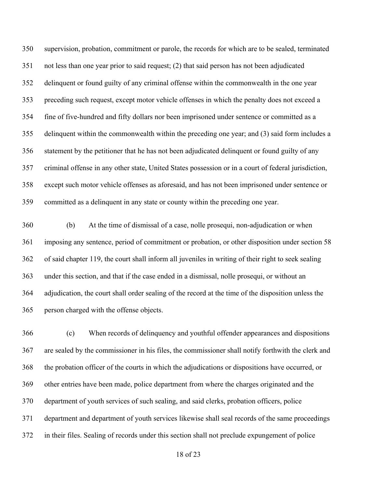supervision, probation, commitment or parole, the records for which are to be sealed, terminated not less than one year prior to said request; (2) that said person has not been adjudicated delinquent or found guilty of any criminal offense within the commonwealth in the one year preceding such request, except motor vehicle offenses in which the penalty does not exceed a fine of five-hundred and fifty dollars nor been imprisoned under sentence or committed as a delinquent within the commonwealth within the preceding one year; and (3) said form includes a statement by the petitioner that he has not been adjudicated delinquent or found guilty of any criminal offense in any other state, United States possession or in a court of federal jurisdiction, except such motor vehicle offenses as aforesaid, and has not been imprisoned under sentence or committed as a delinquent in any state or county within the preceding one year.

 (b) At the time of dismissal of a case, nolle prosequi, non-adjudication or when imposing any sentence, period of commitment or probation, or other disposition under section 58 of said chapter 119, the court shall inform all juveniles in writing of their right to seek sealing under this section, and that if the case ended in a dismissal, nolle prosequi, or without an adjudication, the court shall order sealing of the record at the time of the disposition unless the person charged with the offense objects.

 (c) When records of delinquency and youthful offender appearances and dispositions are sealed by the commissioner in his files, the commissioner shall notify forthwith the clerk and the probation officer of the courts in which the adjudications or dispositions have occurred, or other entries have been made, police department from where the charges originated and the department of youth services of such sealing, and said clerks, probation officers, police department and department of youth services likewise shall seal records of the same proceedings in their files. Sealing of records under this section shall not preclude expungement of police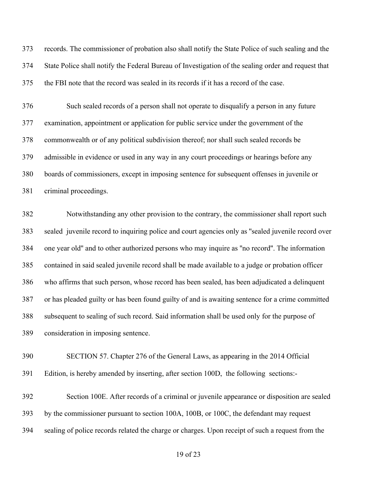records. The commissioner of probation also shall notify the State Police of such sealing and the State Police shall notify the Federal Bureau of Investigation of the sealing order and request that the FBI note that the record was sealed in its records if it has a record of the case.

 Such sealed records of a person shall not operate to disqualify a person in any future examination, appointment or application for public service under the government of the commonwealth or of any political subdivision thereof; nor shall such sealed records be admissible in evidence or used in any way in any court proceedings or hearings before any boards of commissioners, except in imposing sentence for subsequent offenses in juvenile or criminal proceedings.

 Notwithstanding any other provision to the contrary, the commissioner shall report such sealed juvenile record to inquiring police and court agencies only as ''sealed juvenile record over one year old'' and to other authorized persons who may inquire as ''no record''. The information contained in said sealed juvenile record shall be made available to a judge or probation officer who affirms that such person, whose record has been sealed, has been adjudicated a delinquent or has pleaded guilty or has been found guilty of and is awaiting sentence for a crime committed subsequent to sealing of such record. Said information shall be used only for the purpose of consideration in imposing sentence.

 SECTION 57. Chapter 276 of the General Laws, as appearing in the 2014 Official Edition, is hereby amended by inserting, after section 100D, the following sections:-

 Section 100E. After records of a criminal or juvenile appearance or disposition are sealed by the commissioner pursuant to section 100A, 100B, or 100C, the defendant may request sealing of police records related the charge or charges. Upon receipt of such a request from the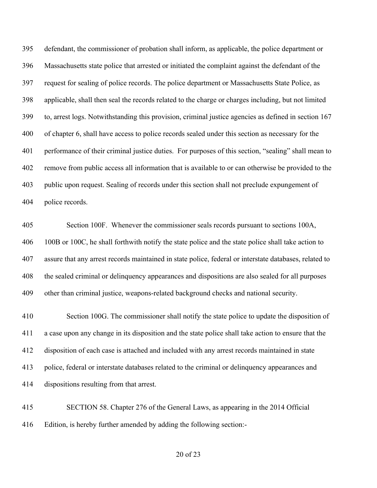defendant, the commissioner of probation shall inform, as applicable, the police department or Massachusetts state police that arrested or initiated the complaint against the defendant of the request for sealing of police records. The police department or Massachusetts State Police, as applicable, shall then seal the records related to the charge or charges including, but not limited to, arrest logs. Notwithstanding this provision, criminal justice agencies as defined in section 167 of chapter 6, shall have access to police records sealed under this section as necessary for the performance of their criminal justice duties. For purposes of this section, "sealing" shall mean to remove from public access all information that is available to or can otherwise be provided to the public upon request. Sealing of records under this section shall not preclude expungement of police records.

 Section 100F. Whenever the commissioner seals records pursuant to sections 100A, 100B or 100C, he shall forthwith notify the state police and the state police shall take action to assure that any arrest records maintained in state police, federal or interstate databases, related to the sealed criminal or delinquency appearances and dispositions are also sealed for all purposes other than criminal justice, weapons-related background checks and national security.

 Section 100G. The commissioner shall notify the state police to update the disposition of a case upon any change in its disposition and the state police shall take action to ensure that the disposition of each case is attached and included with any arrest records maintained in state police, federal or interstate databases related to the criminal or delinquency appearances and dispositions resulting from that arrest.

 SECTION 58. Chapter 276 of the General Laws, as appearing in the 2014 Official Edition, is hereby further amended by adding the following section:-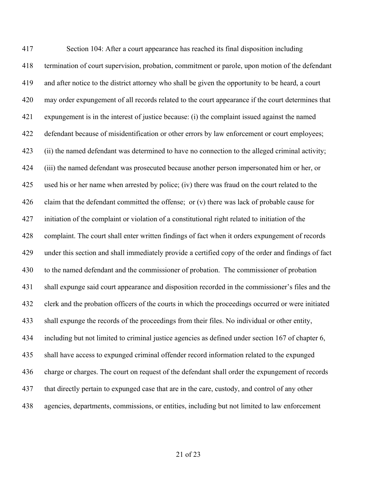Section 104: After a court appearance has reached its final disposition including termination of court supervision, probation, commitment or parole, upon motion of the defendant and after notice to the district attorney who shall be given the opportunity to be heard, a court may order expungement of all records related to the court appearance if the court determines that expungement is in the interest of justice because: (i) the complaint issued against the named defendant because of misidentification or other errors by law enforcement or court employees; (ii) the named defendant was determined to have no connection to the alleged criminal activity; (iii) the named defendant was prosecuted because another person impersonated him or her, or used his or her name when arrested by police; (iv) there was fraud on the court related to the 426 claim that the defendant committed the offense; or  $(v)$  there was lack of probable cause for initiation of the complaint or violation of a constitutional right related to initiation of the complaint. The court shall enter written findings of fact when it orders expungement of records under this section and shall immediately provide a certified copy of the order and findings of fact to the named defendant and the commissioner of probation. The commissioner of probation shall expunge said court appearance and disposition recorded in the commissioner's files and the clerk and the probation officers of the courts in which the proceedings occurred or were initiated shall expunge the records of the proceedings from their files. No individual or other entity, including but not limited to criminal justice agencies as defined under section 167 of chapter 6, shall have access to expunged criminal offender record information related to the expunged charge or charges. The court on request of the defendant shall order the expungement of records that directly pertain to expunged case that are in the care, custody, and control of any other agencies, departments, commissions, or entities, including but not limited to law enforcement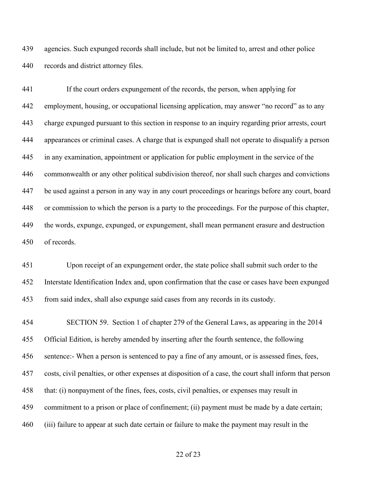agencies. Such expunged records shall include, but not be limited to, arrest and other police records and district attorney files.

 If the court orders expungement of the records, the person, when applying for employment, housing, or occupational licensing application, may answer "no record" as to any charge expunged pursuant to this section in response to an inquiry regarding prior arrests, court appearances or criminal cases. A charge that is expunged shall not operate to disqualify a person in any examination, appointment or application for public employment in the service of the commonwealth or any other political subdivision thereof, nor shall such charges and convictions be used against a person in any way in any court proceedings or hearings before any court, board or commission to which the person is a party to the proceedings. For the purpose of this chapter, the words, expunge, expunged, or expungement, shall mean permanent erasure and destruction of records.

 Upon receipt of an expungement order, the state police shall submit such order to the Interstate Identification Index and, upon confirmation that the case or cases have been expunged from said index, shall also expunge said cases from any records in its custody.

 SECTION 59. Section 1 of chapter 279 of the General Laws, as appearing in the 2014 Official Edition, is hereby amended by inserting after the fourth sentence, the following sentence:- When a person is sentenced to pay a fine of any amount, or is assessed fines, fees, costs, civil penalties, or other expenses at disposition of a case, the court shall inform that person that: (i) nonpayment of the fines, fees, costs, civil penalties, or expenses may result in commitment to a prison or place of confinement; (ii) payment must be made by a date certain; (iii) failure to appear at such date certain or failure to make the payment may result in the